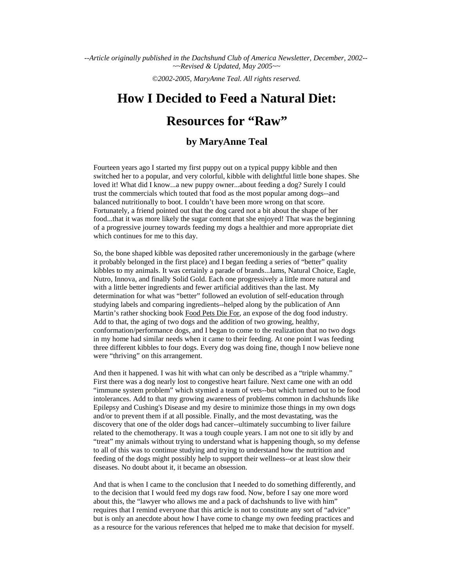--*Article originally published in the Dachshund Club of America Newsletter, December, 2002*-- *~~Revised & Updated, May 2005~~*

*©2002-2005, MaryAnne Teal. All rights reserved.*

# **How I Decided to Feed a Natural Diet:**

## **Resources for "Raw"**

## **by MaryAnne Teal**

Fourteen years ago I started my first puppy out on a typical puppy kibble and then switched her to a popular, and very colorful, kibble with delightful little bone shapes. She loved it! What did I know...a new puppy owner...about feeding a dog? Surely I could trust the commercials which touted that food as the most popular among dogs--and balanced nutritionally to boot. I couldn't have been more wrong on that score. Fortunately, a friend pointed out that the dog cared not a bit about the shape of her food...that it was more likely the sugar content that she enjoyed! That was the beginning of a progressive journey towards feeding my dogs a healthier and more appropriate diet which continues for me to this day.

So, the bone shaped kibble was deposited rather unceremoniously in the garbage (where it probably belonged in the first place) and I began feeding a series of "better" quality kibbles to my animals. It was certainly a parade of brands...Iams, Natural Choice, Eagle, Nutro, Innova, and finally Solid Gold. Each one progressively a little more natural and with a little better ingredients and fewer artificial additives than the last. My determination for what was "better" followed an evolution of self-education through studying labels and comparing ingredients--helped along by the publication of Ann Martin's rather shocking book Food Pets Die For, an expose of the dog food industry. Add to that, the aging of two dogs and the addition of two growing, healthy, conformation/performance dogs, and I began to come to the realization that no two dogs in my home had similar needs when it came to their feeding. At one point I was feeding three different kibbles to four dogs. Every dog was doing fine, though I now believe none were "thriving" on this arrangement.

And then it happened. I was hit with what can only be described as a "triple whammy." First there was a dog nearly lost to congestive heart failure. Next came one with an odd "immune system problem" which stymied a team of vets--but which turned out to be food intolerances. Add to that my growing awareness of problems common in dachshunds like Epilepsy and Cushing's Disease and my desire to minimize those things in my own dogs and/or to prevent them if at all possible. Finally, and the most devastating, was the discovery that one of the older dogs had cancer--ultimately succumbing to liver failure related to the chemotherapy. It was a tough couple years. I am not one to sit idly by and "treat" my animals without trying to understand what is happening though, so my defense to all of this was to continue studying and trying to understand how the nutrition and feeding of the dogs might possibly help to support their wellness--or at least slow their diseases. No doubt about it, it became an obsession.

And that is when I came to the conclusion that I needed to do something differently, and to the decision that I would feed my dogs raw food. Now, before I say one more word about this, the "lawyer who allows me and a pack of dachshunds to live with him" requires that I remind everyone that this article is not to constitute any sort of "advice" but is only an anecdote about how I have come to change my own feeding practices and as a resource for the various references that helped me to make that decision for myself.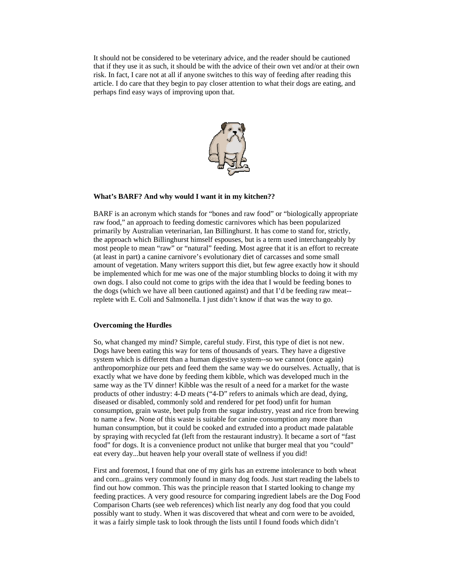It should not be considered to be veterinary advice, and the reader should be cautioned that if they use it as such, it should be with the advice of their own vet and/or at their own risk. In fact, I care not at all if anyone switches to this way of feeding after reading this article. I do care that they begin to pay closer attention to what their dogs are eating, and perhaps find easy ways of improving upon that.



#### **What's BARF? And why would I want it in my kitchen??**

BARF is an acronym which stands for "bones and raw food" or "biologically appropriate raw food," an approach to feeding domestic carnivores which has been popularized primarily by Australian veterinarian, Ian Billinghurst. It has come to stand for, strictly, the approach which Billinghurst himself espouses, but is a term used interchangeably by most people to mean "raw" or "natural" feeding. Most agree that it is an effort to recreate (at least in part) a canine carnivore's evolutionary diet of carcasses and some small amount of vegetation. Many writers support this diet, but few agree exactly how it should be implemented which for me was one of the major stumbling blocks to doing it with my own dogs. I also could not come to grips with the idea that I would be feeding bones to the dogs (which we have all been cautioned against) and that I'd be feeding raw meat- replete with E. Coli and Salmonella. I just didn't know if that was the way to go.

#### **Overcoming the Hurdles**

So, what changed my mind? Simple, careful study. First, this type of diet is not new. Dogs have been eating this way for tens of thousands of years. They have a digestive system which is different than a human digestive system--so we cannot (once again) anthropomorphize our pets and feed them the same way we do ourselves. Actually, that is exactly what we have done by feeding them kibble, which was developed much in the same way as the TV dinner! Kibble was the result of a need for a market for the waste products of other industry: 4-D meats ("4-D" refers to animals which are dead, dying, diseased or disabled, commonly sold and rendered for pet food) unfit for human consumption, grain waste, beet pulp from the sugar industry, yeast and rice from brewing to name a few. None of this waste is suitable for canine consumption any more than human consumption, but it could be cooked and extruded into a product made palatable by spraying with recycled fat (left from the restaurant industry). It became a sort of "fast food" for dogs. It is a convenience product not unlike that burger meal that you "could" eat every day...but heaven help your overall state of wellness if you did!

First and foremost, I found that one of my girls has an extreme intolerance to both wheat and corn...grains very commonly found in many dog foods. Just start reading the labels to find out how common. This was the principle reason that I started looking to change my feeding practices. A very good resource for comparing ingredient labels are the Dog Food Comparison Charts (see web references) which list nearly any dog food that you could possibly want to study. When it was discovered that wheat and corn were to be avoided, it was a fairly simple task to look through the lists until I found foods which didn't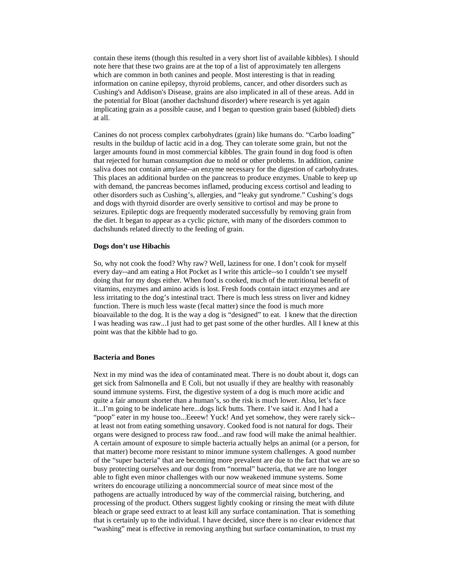contain these items (though this resulted in a very short list of available kibbles). I should note here that these two grains are at the top of a list of approximately ten allergens which are common in both canines and people. Most interesting is that in reading information on canine epilepsy, thyroid problems, cancer, and other disorders such as Cushing's and Addison's Disease, grains are also implicated in all of these areas. Add in the potential for Bloat (another dachshund disorder) where research is yet again implicating grain as a possible cause, and I began to question grain based (kibbled) diets at all.

Canines do not process complex carbohydrates (grain) like humans do. "Carbo loading" results in the buildup of lactic acid in a dog. They can tolerate some grain, but not the larger amounts found in most commercial kibbles. The grain found in dog food is often that rejected for human consumption due to mold or other problems. In addition, canine saliva does not contain amylase--an enzyme necessary for the digestion of carbohydrates. This places an additional burden on the pancreas to produce enzymes. Unable to keep up with demand, the pancreas becomes inflamed, producing excess cortisol and leading to other disorders such as Cushing's, allergies, and "leaky gut syndrome." Cushing's dogs and dogs with thyroid disorder are overly sensitive to cortisol and may be prone to seizures. Epileptic dogs are frequently moderated successfully by removing grain from the diet. It began to appear as a cyclic picture, with many of the disorders common to dachshunds related directly to the feeding of grain.

#### **Dogs don't use Hibachis**

So, why not cook the food? Why raw? Well, laziness for one. I don't cook for myself every day--and am eating a Hot Pocket as I write this article--so I couldn't see myself doing that for my dogs either. When food is cooked, much of the nutritional benefit of vitamins, enzymes and amino acids is lost. Fresh foods contain intact enzymes and are less irritating to the dog's intestinal tract. There is much less stress on liver and kidney function. There is much less waste (fecal matter) since the food is much more bioavailable to the dog. It is the way a dog is "designed" to eat. I knew that the direction I was heading was raw...I just had to get past some of the other hurdles. All I knew at this point was that the kibble had to go.

#### **Bacteria and Bones**

Next in my mind was the idea of contaminated meat. There is no doubt about it, dogs can get sick from Salmonella and E Coli, but not usually if they are healthy with reasonably sound immune systems. First, the digestive system of a dog is much more acidic and quite a fair amount shorter than a human's, so the risk is much lower. Also, let's face it...I'm going to be indelicate here...dogs lick butts. There. I've said it. And I had a "poop" eater in my house too...Eeeew! Yuck! And yet somehow, they were rarely sick- at least not from eating something unsavory. Cooked food is not natural for dogs. Their organs were designed to process raw food...and raw food will make the animal healthier. A certain amount of exposure to simple bacteria actually helps an animal (or a person, for that matter) become more resistant to minor immune system challenges. A good number of the "super bacteria" that are becoming more prevalent are due to the fact that we are so busy protecting ourselves and our dogs from "normal" bacteria, that we are no longer able to fight even minor challenges with our now weakened immune systems. Some writers do encourage utilizing a noncommercial source of meat since most of the pathogens are actually introduced by way of the commercial raising, butchering, and processing of the product. Others suggest lightly cooking or rinsing the meat with dilute bleach or grape seed extract to at least kill any surface contamination. That is something that is certainly up to the individual. I have decided, since there is no clear evidence that "washing" meat is effective in removing anything but surface contamination, to trust my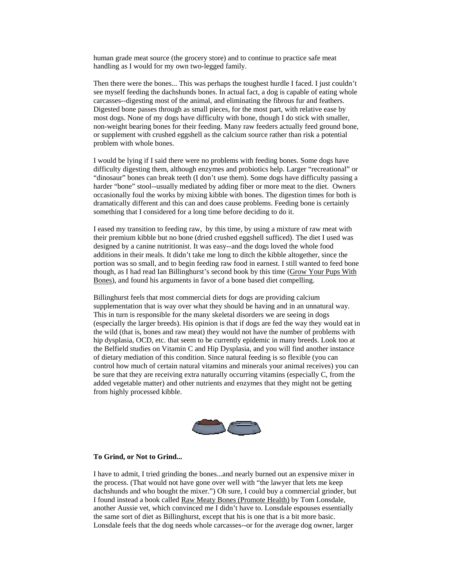human grade meat source (the grocery store) and to continue to practice safe meat handling as I would for my own two-legged family.

Then there were the bones... This was perhaps the toughest hurdle I faced. I just couldn't see myself feeding the dachshunds bones. In actual fact, a dog is capable of eating whole carcasses--digesting most of the animal, and eliminating the fibrous fur and feathers. Digested bone passes through as small pieces, for the most part, with relative ease by most dogs. None of my dogs have difficulty with bone, though I do stick with smaller, non-weight bearing bones for their feeding. Many raw feeders actually feed ground bone, or supplement with crushed eggshell as the calcium source rather than risk a potential problem with whole bones.

I would be lying if I said there were no problems with feeding bones. Some dogs have difficulty digesting them, although enzymes and probiotics help. Larger "recreational" or "dinosaur" bones can break teeth (I don't use them). Some dogs have difficulty passing a harder "bone" stool--usually mediated by adding fiber or more meat to the diet. Owners occasionally foul the works by mixing kibble with bones. The digestion times for both is dramatically different and this can and does cause problems. Feeding bone is certainly something that I considered for a long time before deciding to do it.

I eased my transition to feeding raw, by this time, by using a mixture of raw meat with their premium kibble but no bone (dried crushed eggshell sufficed). The diet I used was designed by a canine nutritionist. It was easy--and the dogs loved the whole food additions in their meals. It didn't take me long to ditch the kibble altogether, since the portion was so small, and to begin feeding raw food in earnest. I still wanted to feed bone though, as I had read Ian Billinghurst's second book by this time (Grow Your Pups With Bones), and found his arguments in favor of a bone based diet compelling.

Billinghurst feels that most commercial diets for dogs are providing calcium supplementation that is way over what they should be having and in an unnatural way. This in turn is responsible for the many skeletal disorders we are seeing in dogs (especially the larger breeds). His opinion is that if dogs are fed the way they would eat in the wild (that is, bones and raw meat) they would not have the number of problems with hip dysplasia, OCD, etc. that seem to be currently epidemic in many breeds. Look too at the Belfield studies on Vitamin C and Hip Dysplasia, and you will find another instance of dietary mediation of this condition. Since natural feeding is so flexible (you can control how much of certain natural vitamins and minerals your animal receives) you can be sure that they are receiving extra naturally occurring vitamins (especially C, from the added vegetable matter) and other nutrients and enzymes that they might not be getting from highly processed kibble.



#### **To Grind, or Not to Grind...**

I have to admit, I tried grinding the bones...and nearly burned out an expensive mixer in the process. (That would not have gone over well with "the lawyer that lets me keep dachshunds and who bought the mixer.") Oh sure, I could buy a commercial grinder, but I found instead a book called Raw Meaty Bones (Promote Health) by Tom Lonsdale, another Aussie vet, which convinced me I didn't have to. Lonsdale espouses essentially the same sort of diet as Billinghurst, except that his is one that is a bit more basic. Lonsdale feels that the dog needs whole carcasses--or for the average dog owner, larger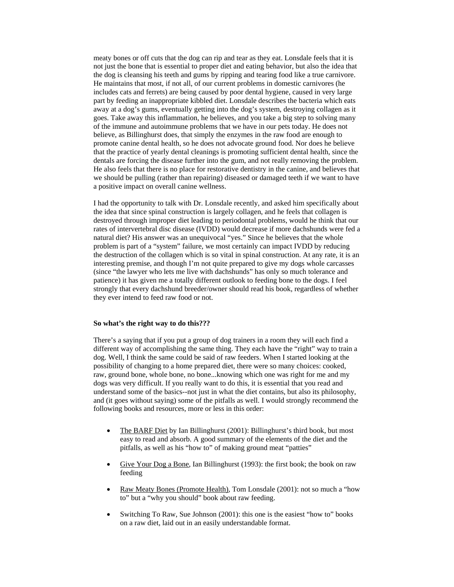meaty bones or off cuts that the dog can rip and tear as they eat. Lonsdale feels that it is not just the bone that is essential to proper diet and eating behavior, but also the idea that the dog is cleansing his teeth and gums by ripping and tearing food like a true carnivore. He maintains that most, if not all, of our current problems in domestic carnivores (he includes cats and ferrets) are being caused by poor dental hygiene, caused in very large part by feeding an inappropriate kibbled diet. Lonsdale describes the bacteria which eats away at a dog's gums, eventually getting into the dog's system, destroying collagen as it goes. Take away this inflammation, he believes, and you take a big step to solving many of the immune and autoimmune problems that we have in our pets today. He does not believe, as Billinghurst does, that simply the enzymes in the raw food are enough to promote canine dental health, so he does not advocate ground food. Nor does he believe that the practice of yearly dental cleanings is promoting sufficient dental health, since the dentals are forcing the disease further into the gum, and not really removing the problem. He also feels that there is no place for restorative dentistry in the canine, and believes that we should be pulling (rather than repairing) diseased or damaged teeth if we want to have a positive impact on overall canine wellness.

I had the opportunity to talk with Dr. Lonsdale recently, and asked him specifically about the idea that since spinal construction is largely collagen, and he feels that collagen is destroyed through improper diet leading to periodontal problems, would he think that our rates of intervertebral disc disease (IVDD) would decrease if more dachshunds were fed a natural diet? His answer was an unequivocal "yes." Since he believes that the whole problem is part of a "system" failure, we most certainly can impact IVDD by reducing the destruction of the collagen which is so vital in spinal construction. At any rate, it is an interesting premise, and though I'm not quite prepared to give my dogs whole carcasses (since "the lawyer who lets me live with dachshunds" has only so much tolerance and patience) it has given me a totally different outlook to feeding bone to the dogs. I feel strongly that every dachshund breeder/owner should read his book, regardless of whether they ever intend to feed raw food or not.

#### **So what's the right way to do this???**

There's a saying that if you put a group of dog trainers in a room they will each find a different way of accomplishing the same thing. They each have the "right" way to train a dog. Well, I think the same could be said of raw feeders. When I started looking at the possibility of changing to a home prepared diet, there were so many choices: cooked, raw, ground bone, whole bone, no bone...knowing which one was right for me and my dogs was very difficult. If you really want to do this, it is essential that you read and understand some of the basics--not just in what the diet contains, but also its philosophy, and (it goes without saying) some of the pitfalls as well. I would strongly recommend the following books and resources, more or less in this order:

- The BARF Diet by Ian Billinghurst (2001): Billinghurst's third book, but most easy to read and absorb. A good summary of the elements of the diet and the pitfalls, as well as his "how to" of making ground meat "patties"
- Give Your Dog a Bone, Ian Billinghurst (1993): the first book; the book on raw feeding
- Raw Meaty Bones (Promote Health), Tom Lonsdale (2001): not so much a "how to" but a "why you should" book about raw feeding.
- Switching To Raw, Sue Johnson (2001): this one is the easiest "how to" books on a raw diet, laid out in an easily understandable format.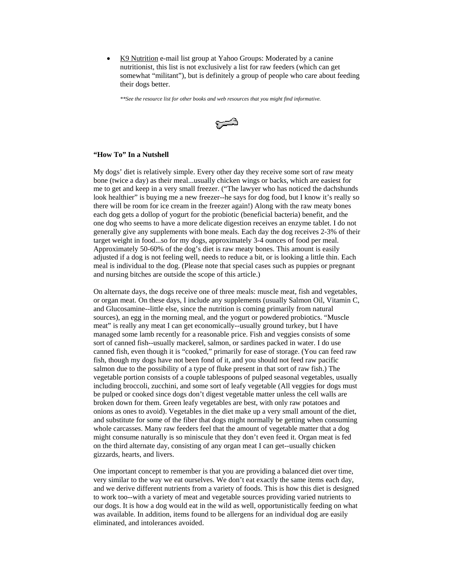• K9 Nutrition e-mail list group at Yahoo Groups: Moderated by a canine nutritionist, this list is not exclusively a list for raw feeders (which can get somewhat "militant"), but is definitely a group of people who care about feeding their dogs better.

*\*\*See the resource list for other books and web resources that you might find informative.*



#### **"How To" In a Nutshell**

My dogs' diet is relatively simple. Every other day they receive some sort of raw meaty bone (twice a day) as their meal...usually chicken wings or backs, which are easiest for me to get and keep in a very small freezer. ("The lawyer who has noticed the dachshunds look healthier" is buying me a new freezer--he says for dog food, but I know it's really so there will be room for ice cream in the freezer again!) Along with the raw meaty bones each dog gets a dollop of yogurt for the probiotic (beneficial bacteria) benefit, and the one dog who seems to have a more delicate digestion receives an enzyme tablet. I do not generally give any supplements with bone meals. Each day the dog receives 2-3% of their target weight in food...so for my dogs, approximately 3-4 ounces of food per meal. Approximately 50-60% of the dog's diet is raw meaty bones. This amount is easily adjusted if a dog is not feeling well, needs to reduce a bit, or is looking a little thin. Each meal is individual to the dog. (Please note that special cases such as puppies or pregnant and nursing bitches are outside the scope of this article.)

On alternate days, the dogs receive one of three meals: muscle meat, fish and vegetables, or organ meat. On these days, I include any supplements (usually Salmon Oil, Vitamin C, and Glucosamine--little else, since the nutrition is coming primarily from natural sources), an egg in the morning meal, and the yogurt or powdered probiotics. "Muscle meat" is really any meat I can get economically--usually ground turkey, but I have managed some lamb recently for a reasonable price. Fish and veggies consists of some sort of canned fish--usually mackerel, salmon, or sardines packed in water. I do use canned fish, even though it is "cooked," primarily for ease of storage. (You can feed raw fish, though my dogs have not been fond of it, and you should not feed raw pacific salmon due to the possibility of a type of fluke present in that sort of raw fish.) The vegetable portion consists of a couple tablespoons of pulped seasonal vegetables, usually including broccoli, zucchini, and some sort of leafy vegetable (All veggies for dogs must be pulped or cooked since dogs don't digest vegetable matter unless the cell walls are broken down for them. Green leafy vegetables are best, with only raw potatoes and onions as ones to avoid). Vegetables in the diet make up a very small amount of the diet, and substitute for some of the fiber that dogs might normally be getting when consuming whole carcasses. Many raw feeders feel that the amount of vegetable matter that a dog might consume naturally is so miniscule that they don't even feed it. Organ meat is fed on the third alternate day, consisting of any organ meat I can get--usually chicken gizzards, hearts, and livers.

One important concept to remember is that you are providing a balanced diet over time, very similar to the way we eat ourselves. We don't eat exactly the same items each day, and we derive different nutrients from a variety of foods. This is how this diet is designed to work too--with a variety of meat and vegetable sources providing varied nutrients to our dogs. It is how a dog would eat in the wild as well, opportunistically feeding on what was available. In addition, items found to be allergens for an individual dog are easily eliminated, and intolerances avoided.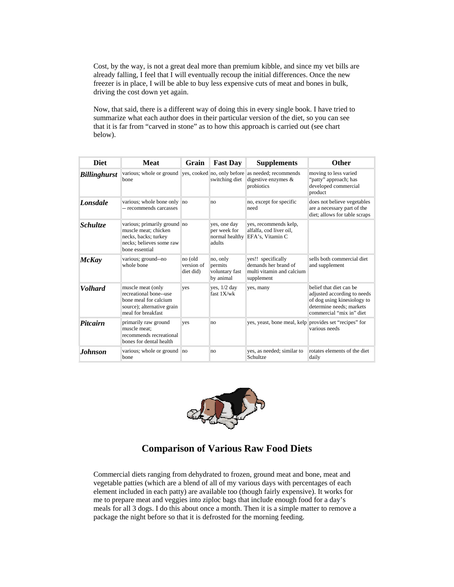Cost, by the way, is not a great deal more than premium kibble, and since my vet bills are already falling, I feel that I will eventually recoup the initial differences. Once the new freezer is in place, I will be able to buy less expensive cuts of meat and bones in bulk, driving the cost down yet again.

Now, that said, there is a different way of doing this in every single book. I have tried to summarize what each author does in their particular version of the diet, so you can see that it is far from "carved in stone" as to how this approach is carried out (see chart below).

| <b>Diet</b>         | <b>Meat</b>                                                                                                                | Grain                              | <b>Fast Day</b>                                          | <b>Supplements</b>                                                                    | <b>Other</b>                                                                                                                                  |
|---------------------|----------------------------------------------------------------------------------------------------------------------------|------------------------------------|----------------------------------------------------------|---------------------------------------------------------------------------------------|-----------------------------------------------------------------------------------------------------------------------------------------------|
| <b>Billinghurst</b> | various; whole or ground ves, cooked no, only before<br>bone                                                               |                                    | switching diet                                           | as needed; recommends<br>digestive enzymes $\&$<br>probiotics                         | moving to less varied<br>"patty" approach; has<br>developed commercial<br>product                                                             |
| Lonsdale            | various; whole bone only no<br>-- recommends carcasses                                                                     |                                    | no                                                       | no, except for specific<br>need                                                       | does not believe vegetables<br>are a necessary part of the<br>diet; allows for table scraps                                                   |
| <i>Schultze</i>     | various; primarily ground no<br>muscle meat; chicken<br>necks, backs; turkey<br>necks; believes some raw<br>bone essential |                                    | yes, one day<br>per week for<br>normal healthy<br>adults | yes, recommends kelp,<br>alfalfa, cod liver oil,<br>EFA's, Vitamin C                  |                                                                                                                                               |
| <b>McKay</b>        | various; ground--no<br>whole bone                                                                                          | no (old<br>version of<br>diet did) | no, only<br>permits<br>voluntary fast<br>by animal       | yes!! specifically<br>demands her brand of<br>multi vitamin and calcium<br>supplement | sells both commercial diet<br>and supplement                                                                                                  |
| <b>Volhard</b>      | muscle meat (only<br>recreational bone--use<br>bone meal for calcium<br>source); alternative grain<br>meal for breakfast   | yes                                | yes, $1/2$ day<br>fast $1X/wk$                           | ves, many                                                                             | belief that diet can be<br>adjusted according to needs<br>of dog using kinesiology to<br>determine needs; markets<br>commercial "mix in" diet |
| <b>Pitcairn</b>     | primarily raw ground<br>muscle meat:<br>recommends recreational<br>bones for dental health                                 | ves                                | no                                                       | yes, yeast, bone meal, kelp provides set "recipes" for                                | various needs                                                                                                                                 |
| Johnson             | various; whole or ground no<br>bone                                                                                        |                                    | no                                                       | yes, as needed; similar to<br>Schultze                                                | rotates elements of the diet<br>daily                                                                                                         |



## **Comparison of Various Raw Food Diets**

Commercial diets ranging from dehydrated to frozen, ground meat and bone, meat and vegetable patties (which are a blend of all of my various days with percentages of each element included in each patty) are available too (though fairly expensive). It works for me to prepare meat and veggies into ziploc bags that include enough food for a day's meals for all 3 dogs. I do this about once a month. Then it is a simple matter to remove a package the night before so that it is defrosted for the morning feeding.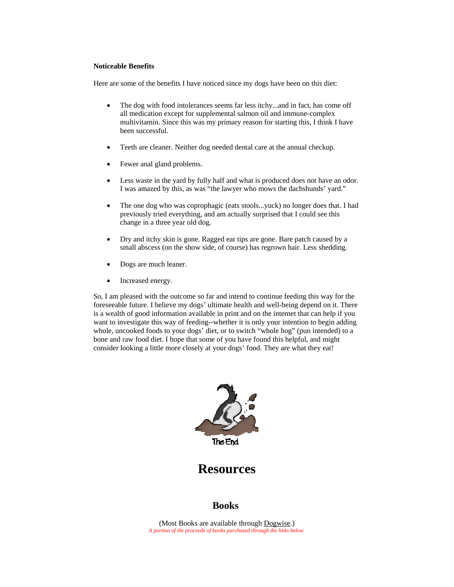#### **Noticeable Benefits**

Here are some of the benefits I have noticed since my dogs have been on this diet:

- The dog with food intolerances seems far less itchy...and in fact, has come off all medication except for supplemental salmon oil and immune-complex multivitamin. Since this was my primary reason for starting this, I think I have been successful.
- Teeth are cleaner. Neither dog needed dental care at the annual checkup.
- Fewer anal gland problems.
- Less waste in the yard by fully half and what is produced does not have an odor. I was amazed by this, as was "the lawyer who mows the dachshunds' yard."
- The one dog who was coprophagic (eats stools...yuck) no longer does that. I had previously tried everything, and am actually surprised that I could see this change in a three year old dog.
- Dry and itchy skin is gone. Ragged ear tips are gone. Bare patch caused by a small abscess (on the show side, of course) has regrown hair. Less shedding.
- Dogs are much leaner.
- Increased energy.

So, I am pleased with the outcome so far and intend to continue feeding this way for the foreseeable future. I believe my dogs' ultimate health and well-being depend on it. There is a wealth of good information available in print and on the internet that can help if you want to investigate this way of feeding--whether it is only your intention to begin adding whole, uncooked foods to your dogs' diet, or to switch "whole hog" (pun intended) to a bone and raw food diet. I hope that some of you have found this helpful, and might consider looking a little more closely at your dogs' food. They are what they eat!



**Resources**

## **Books**

(Most Books are available through Dogwise.) *A portion of the proceeds of books purchased through the links below*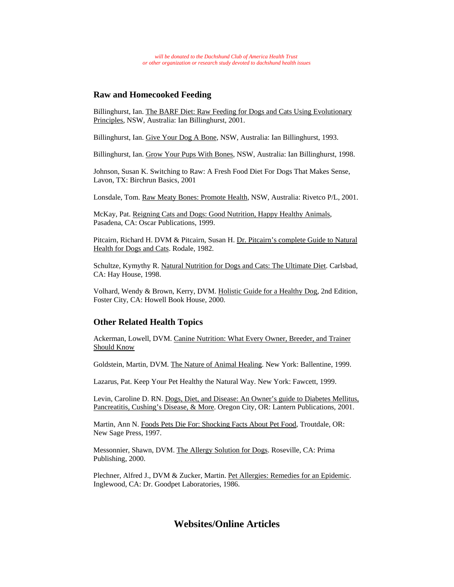### **Raw and Homecooked Feeding**

Billinghurst, Ian. The BARF Diet: Raw Feeding for Dogs and Cats Using Evolutionary Principles, NSW, Australia: Ian Billinghurst, 2001.

Billinghurst, Ian. Give Your Dog A Bone, NSW, Australia: Ian Billinghurst, 1993.

Billinghurst, Ian. Grow Your Pups With Bones, NSW, Australia: Ian Billinghurst, 1998.

Johnson, Susan K. Switching to Raw: A Fresh Food Diet For Dogs That Makes Sense, Lavon, TX: Birchrun Basics, 2001

Lonsdale, Tom. Raw Meaty Bones: Promote Health, NSW, Australia: Rivetco P/L, 2001.

McKay, Pat. Reigning Cats and Dogs: Good Nutrition, Happy Healthy Animals, Pasadena, CA: Oscar Publications, 1999.

Pitcairn, Richard H. DVM & Pitcairn, Susan H. Dr. Pitcairn's complete Guide to Natural Health for Dogs and Cats. Rodale, 1982.

Schultze, Kymythy R. Natural Nutrition for Dogs and Cats: The Ultimate Diet. Carlsbad, CA: Hay House, 1998.

Volhard, Wendy & Brown, Kerry, DVM. Holistic Guide for a Healthy Dog, 2nd Edition, Foster City, CA: Howell Book House, 2000.

## **Other Related Health Topics**

Ackerman, Lowell, DVM. Canine Nutrition: What Every Owner, Breeder, and Trainer Should Know

Goldstein, Martin, DVM. The Nature of Animal Healing. New York: Ballentine, 1999.

Lazarus, Pat. Keep Your Pet Healthy the Natural Way. New York: Fawcett, 1999.

Levin, Caroline D. RN. Dogs, Diet, and Disease: An Owner's guide to Diabetes Mellitus, Pancreatitis, Cushing's Disease, & More. Oregon City, OR: Lantern Publications, 2001.

Martin, Ann N. Foods Pets Die For: Shocking Facts About Pet Food, Troutdale, OR: New Sage Press, 1997.

Messonnier, Shawn, DVM. The Allergy Solution for Dogs. Roseville, CA: Prima Publishing, 2000.

Plechner, Alfred J., DVM & Zucker, Martin. Pet Allergies: Remedies for an Epidemic. Inglewood, CA: Dr. Goodpet Laboratories, 1986.

## **Websites/Online Articles**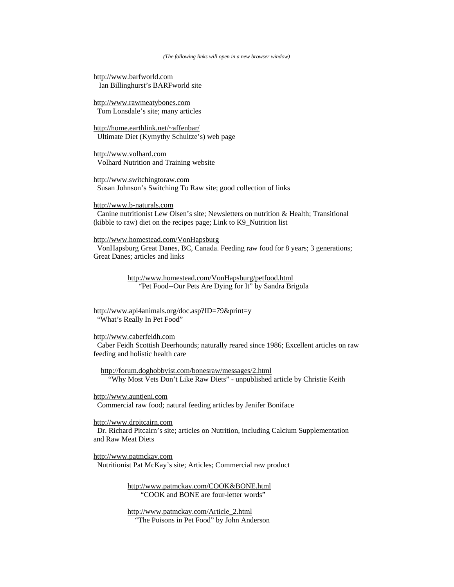#### *(The following links will open in a new browser window)*

http://www.barfworld.com Ian Billinghurst's BARFworld site

http://www.rawmeatybones.com Tom Lonsdale's site; many articles

http://home.earthlink.net/~affenbar/ Ultimate Diet (Kymythy Schultze's) web page

http://www.volhard.com Volhard Nutrition and Training website

http://www.switchingtoraw.com Susan Johnson's Switching To Raw site; good collection of links

http://www.b-naturals.com Canine nutritionist Lew Olsen's site; Newsletters on nutrition & Health; Transitional (kibble to raw) diet on the recipes page; Link to K9\_Nutrition list

http://www.homestead.com/VonHapsburg

 VonHapsburg Great Danes, BC, Canada. Feeding raw food for 8 years; 3 generations; Great Danes; articles and links

> http://www.homestead.com/VonHapsburg/petfood.html "Pet Food--Our Pets Are Dying for It" by Sandra Brigola

http://www.api4animals.org/doc.asp?ID=79&print=y "What's Really In Pet Food"

#### http://www.caberfeidh.com

 Caber Feidh Scottish Deerhounds; naturally reared since 1986; Excellent articles on raw feeding and holistic health care

 http://forum.doghobbyist.com/bonesraw/messages/2.html "Why Most Vets Don't Like Raw Diets" - unpublished article by Christie Keith

http://www.auntjeni.com Commercial raw food; natural feeding articles by Jenifer Boniface

http://www.drpitcairn.com

 Dr. Richard Pitcairn's site; articles on Nutrition, including Calcium Supplementation and Raw Meat Diets

http://www.patmckay.com Nutritionist Pat McKay's site; Articles; Commercial raw product

> http://www.patmckay.com/COOK&BONE.html "COOK and BONE are four-letter words"

> http://www.patmckay.com/Article\_2.html "The Poisons in Pet Food" by John Anderson